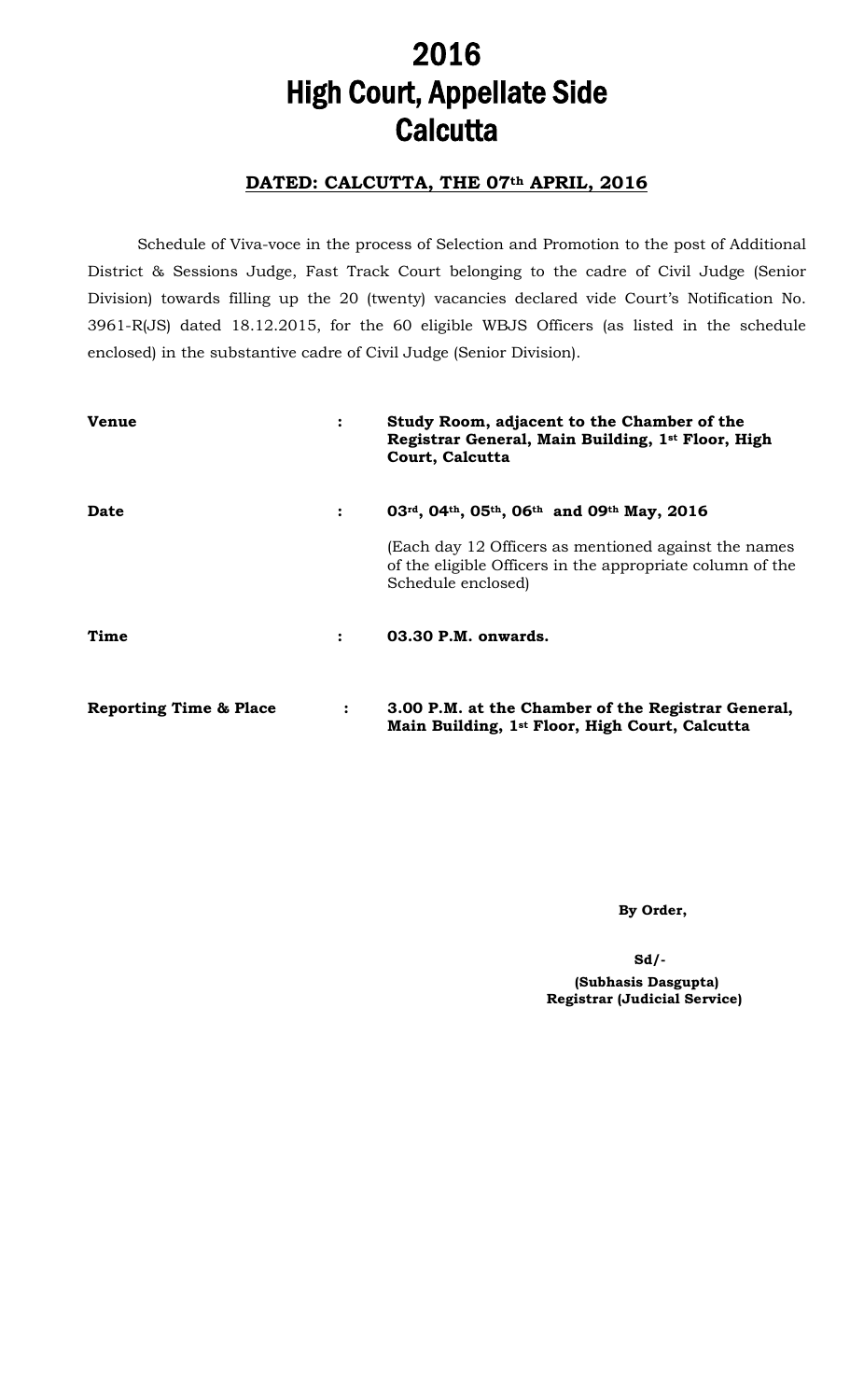# 2016 High Court, Appellate Side **Calcutta**

## DATED: CALCUTTA, THE 07th APRIL, 2016

Schedule of Viva-voce in the process of Selection and Promotion to the post of Additional District & Sessions Judge, Fast Track Court belonging to the cadre of Civil Judge (Senior Division) towards filling up the 20 (twenty) vacancies declared vide Court's Notification No. 3961-R(JS) dated 18.12.2015, for the 60 eligible WBJS Officers (as listed in the schedule enclosed) in the substantive cadre of Civil Judge (Senior Division).

| <b>Venue</b>                      | $\ddot{\cdot}$ | Study Room, adjacent to the Chamber of the<br>Registrar General, Main Building, 1st Floor, High<br>Court, Calcutta                      |
|-----------------------------------|----------------|-----------------------------------------------------------------------------------------------------------------------------------------|
| Date                              | $\ddot{\cdot}$ | 03rd, 04th, 05th, 06th and 09th May, 2016                                                                                               |
|                                   |                | (Each day 12 Officers as mentioned against the names<br>of the eligible Officers in the appropriate column of the<br>Schedule enclosed) |
| Time                              | $\ddot{\cdot}$ | 03.30 P.M. onwards.                                                                                                                     |
| <b>Reporting Time &amp; Place</b> | $\ddot{\cdot}$ | 3.00 P.M. at the Chamber of the Registrar General,<br>Main Building, 1 <sup>st</sup> Floor, High Court, Calcutta                        |

By Order,

Sd/-

 (Subhasis Dasgupta) Registrar (Judicial Service)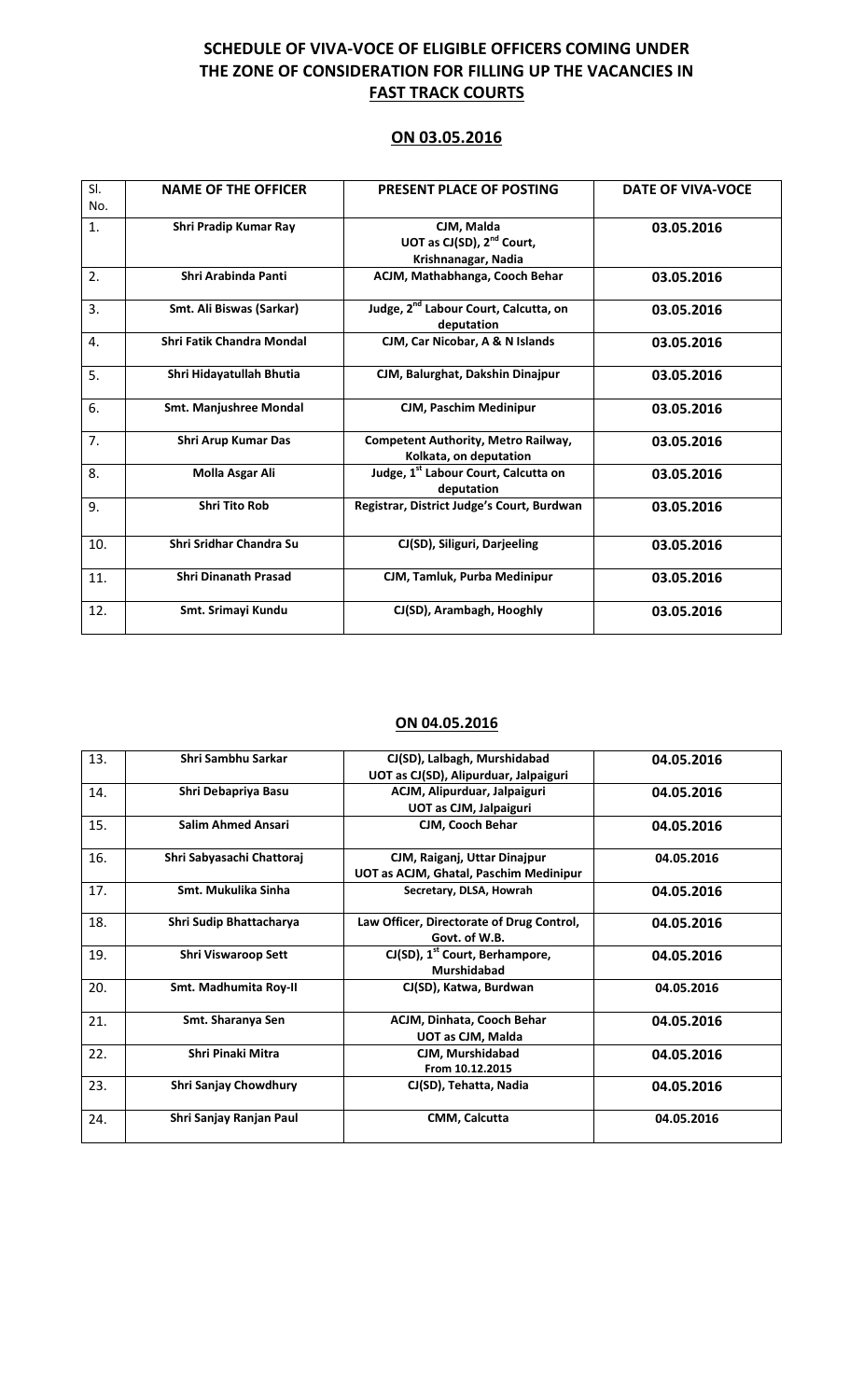## SCHEDULE OF VIVA-VOCE OF ELIGIBLE OFFICERS COMING UNDER THE ZONE OF CONSIDERATION FOR FILLING UP THE VACANCIES IN **FAST TRACK COURTS**

#### ON 03.05.2016

| SI. | <b>NAME OF THE OFFICER</b>    | PRESENT PLACE OF POSTING                                                   | <b>DATE OF VIVA-VOCE</b> |
|-----|-------------------------------|----------------------------------------------------------------------------|--------------------------|
| No. |                               |                                                                            |                          |
| 1.  | Shri Pradip Kumar Ray         | CJM, Malda<br>UOT as CJ(SD), 2 <sup>nd</sup> Court,<br>Krishnanagar, Nadia | 03.05.2016               |
| 2.  | Shri Arabinda Panti           | ACJM, Mathabhanga, Cooch Behar                                             | 03.05.2016               |
| 3.  | Smt. Ali Biswas (Sarkar)      | Judge, 2 <sup>nd</sup> Labour Court, Calcutta, on<br>deputation            | 03.05.2016               |
| 4.  | Shri Fatik Chandra Mondal     | CJM, Car Nicobar, A & N Islands                                            | 03.05.2016               |
| 5.  | Shri Hidayatullah Bhutia      | CJM, Balurghat, Dakshin Dinajpur                                           | 03.05.2016               |
| 6.  | <b>Smt. Manjushree Mondal</b> | CJM, Paschim Medinipur                                                     | 03.05.2016               |
| 7.  | <b>Shri Arup Kumar Das</b>    | <b>Competent Authority, Metro Railway,</b><br>Kolkata, on deputation       | 03.05.2016               |
| 8.  | Molla Asgar Ali               | Judge, 1 <sup>st</sup> Labour Court, Calcutta on<br>deputation             | 03.05.2016               |
| 9.  | <b>Shri Tito Rob</b>          | Registrar, District Judge's Court, Burdwan                                 | 03.05.2016               |
| 10. | Shri Sridhar Chandra Su       | CJ(SD), Siliguri, Darjeeling                                               | 03.05.2016               |
| 11. | <b>Shri Dinanath Prasad</b>   | CJM, Tamluk, Purba Medinipur                                               | 03.05.2016               |
| 12. | Smt. Srimayi Kundu            | CJ(SD), Arambagh, Hooghly                                                  | 03.05.2016               |

#### ON 04.05.2016

| 13. | Shri Sambhu Sarkar         | CJ(SD), Lalbagh, Murshidabad                  | 04.05.2016 |
|-----|----------------------------|-----------------------------------------------|------------|
|     |                            | UOT as CJ(SD), Alipurduar, Jalpaiguri         |            |
| 14. | Shri Debapriya Basu        | ACJM, Alipurduar, Jalpaiguri                  | 04.05.2016 |
|     |                            | UOT as CJM, Jalpaiguri                        |            |
| 15. | <b>Salim Ahmed Ansari</b>  | CJM, Cooch Behar                              | 04.05.2016 |
| 16. | Shri Sabyasachi Chattoraj  | CJM, Raiganj, Uttar Dinajpur                  | 04.05.2016 |
|     |                            | UOT as ACJM, Ghatal, Paschim Medinipur        |            |
| 17. | Smt. Mukulika Sinha        | Secretary, DLSA, Howrah                       | 04.05.2016 |
| 18. | Shri Sudip Bhattacharya    | Law Officer, Directorate of Drug Control,     | 04.05.2016 |
|     |                            | Govt. of W.B.                                 |            |
| 19. | <b>Shri Viswaroop Sett</b> | $CI(SD)$ , 1 <sup>st</sup> Court, Berhampore, | 04.05.2016 |
|     |                            | <b>Murshidabad</b>                            |            |
| 20. | Smt. Madhumita Roy-II      | CJ(SD), Katwa, Burdwan                        | 04.05.2016 |
| 21. | Smt. Sharanya Sen          | ACJM, Dinhata, Cooch Behar                    | 04.05.2016 |
|     |                            | UOT as CJM, Malda                             |            |
| 22. | Shri Pinaki Mitra          | CJM, Murshidabad                              | 04.05.2016 |
|     |                            | From 10.12.2015                               |            |
| 23. | Shri Sanjay Chowdhury      | CJ(SD), Tehatta, Nadia                        | 04.05.2016 |
| 24. | Shri Sanjay Ranjan Paul    | CMM, Calcutta                                 | 04.05.2016 |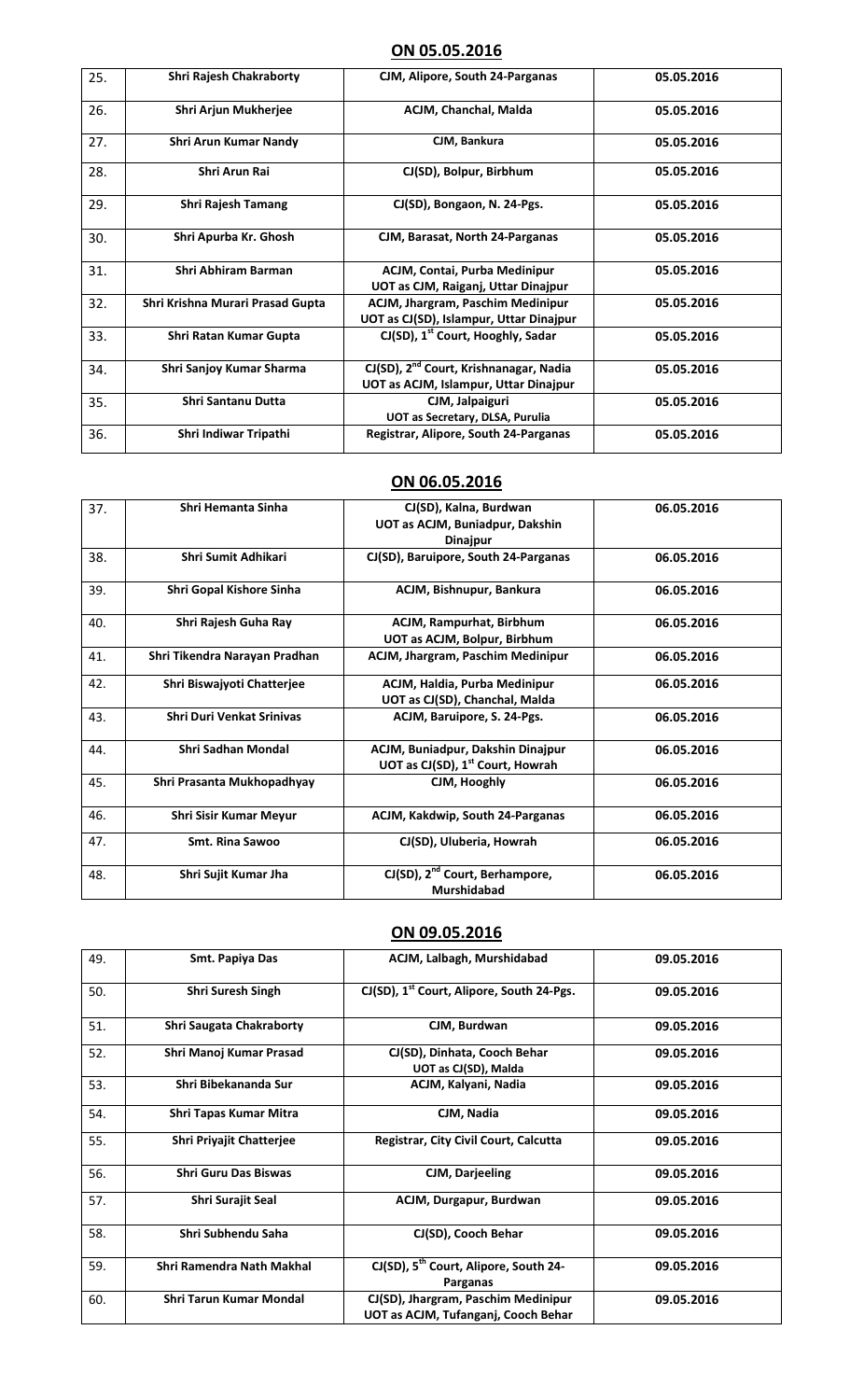### ON 05.05.2016

| 25. | <b>Shri Rajesh Chakraborty</b>   | CJM, Alipore, South 24-Parganas                                                             | 05.05.2016 |
|-----|----------------------------------|---------------------------------------------------------------------------------------------|------------|
| 26. | Shri Arjun Mukherjee             | ACJM, Chanchal, Malda                                                                       | 05.05.2016 |
| 27. | Shri Arun Kumar Nandy            | CJM, Bankura                                                                                | 05.05.2016 |
| 28. | Shri Arun Rai                    | CJ(SD), Bolpur, Birbhum                                                                     | 05.05.2016 |
| 29. | <b>Shri Rajesh Tamang</b>        | CJ(SD), Bongaon, N. 24-Pgs.                                                                 | 05.05.2016 |
| 30. | Shri Apurba Kr. Ghosh            | CJM, Barasat, North 24-Parganas                                                             | 05.05.2016 |
| 31. | Shri Abhiram Barman              | ACJM, Contai, Purba Medinipur<br>UOT as CJM, Raiganj, Uttar Dinajpur                        | 05.05.2016 |
| 32. | Shri Krishna Murari Prasad Gupta | ACJM, Jhargram, Paschim Medinipur<br>UOT as CJ(SD), Islampur, Uttar Dinajpur                | 05.05.2016 |
| 33. | Shri Ratan Kumar Gupta           | CJ(SD), 1 <sup>st</sup> Court, Hooghly, Sadar                                               | 05.05.2016 |
| 34. | Shri Sanjoy Kumar Sharma         | CJ(SD), 2 <sup>nd</sup> Court, Krishnanagar, Nadia<br>UOT as ACJM, Islampur, Uttar Dinajpur | 05.05.2016 |
| 35. | <b>Shri Santanu Dutta</b>        | CJM, Jalpaiguri<br>UOT as Secretary, DLSA, Purulia                                          | 05.05.2016 |
| 36. | Shri Indiwar Tripathi            | Registrar, Alipore, South 24-Parganas                                                       | 05.05.2016 |

### ON 06.05.2016

| 37. | Shri Hemanta Sinha               | CJ(SD), Kalna, Burdwan                                                            | 06.05.2016 |
|-----|----------------------------------|-----------------------------------------------------------------------------------|------------|
|     |                                  | UOT as ACJM, Buniadpur, Dakshin<br><b>Dinajpur</b>                                |            |
| 38. | Shri Sumit Adhikari              | CJ(SD), Baruipore, South 24-Parganas                                              | 06.05.2016 |
| 39. | Shri Gopal Kishore Sinha         | ACJM, Bishnupur, Bankura                                                          | 06.05.2016 |
| 40. | Shri Rajesh Guha Ray             | ACJM, Rampurhat, Birbhum<br>UOT as ACJM, Bolpur, Birbhum                          | 06.05.2016 |
| 41. | Shri Tikendra Narayan Pradhan    | ACJM, Jhargram, Paschim Medinipur                                                 | 06.05.2016 |
| 42. | Shri Biswajyoti Chatterjee       | ACJM, Haldia, Purba Medinipur<br>UOT as CJ(SD), Chanchal, Malda                   | 06.05.2016 |
| 43. | <b>Shri Duri Venkat Srinivas</b> | ACJM, Baruipore, S. 24-Pgs.                                                       | 06.05.2016 |
| 44. | Shri Sadhan Mondal               | ACJM, Buniadpur, Dakshin Dinajpur<br>UOT as CJ(SD), 1 <sup>st</sup> Court, Howrah | 06.05.2016 |
| 45. | Shri Prasanta Mukhopadhyay       | CJM, Hooghly                                                                      | 06.05.2016 |
| 46. | <b>Shri Sisir Kumar Meyur</b>    | ACJM, Kakdwip, South 24-Parganas                                                  | 06.05.2016 |
| 47. | <b>Smt. Rina Sawoo</b>           | CJ(SD), Uluberia, Howrah                                                          | 06.05.2016 |
| 48. | Shri Sujit Kumar Jha             | CJ(SD), 2 <sup>nd</sup> Court, Berhampore,<br>Murshidabad                         | 06.05.2016 |

#### ON 09.05.2016

| 49. | Smt. Papiya Das                 | ACJM, Lalbagh, Murshidabad                                                 | 09.05.2016 |
|-----|---------------------------------|----------------------------------------------------------------------------|------------|
| 50. | <b>Shri Suresh Singh</b>        | CJ(SD), 1 <sup>st</sup> Court, Alipore, South 24-Pgs.                      | 09.05.2016 |
| 51. | Shri Saugata Chakraborty        | CJM, Burdwan                                                               | 09.05.2016 |
| 52. | Shri Manoj Kumar Prasad         | CJ(SD), Dinhata, Cooch Behar<br>UOT as CJ(SD), Malda                       | 09.05.2016 |
| 53. | Shri Bibekananda Sur            | ACJM, Kalyani, Nadia                                                       | 09.05.2016 |
| 54. | Shri Tapas Kumar Mitra          | CJM, Nadia                                                                 | 09.05.2016 |
| 55. | <b>Shri Priyajit Chatterjee</b> | Registrar, City Civil Court, Calcutta                                      | 09.05.2016 |
| 56. | <b>Shri Guru Das Biswas</b>     | CJM, Darjeeling                                                            | 09.05.2016 |
| 57. | <b>Shri Surajit Seal</b>        | ACJM, Durgapur, Burdwan                                                    | 09.05.2016 |
| 58. | Shri Subhendu Saha              | CJ(SD), Cooch Behar                                                        | 09.05.2016 |
| 59. | Shri Ramendra Nath Makhal       | CJ(SD), 5 <sup>th</sup> Court, Alipore, South 24-<br>Parganas              | 09.05.2016 |
| 60. | Shri Tarun Kumar Mondal         | CJ(SD), Jhargram, Paschim Medinipur<br>UOT as ACJM, Tufanganj, Cooch Behar | 09.05.2016 |